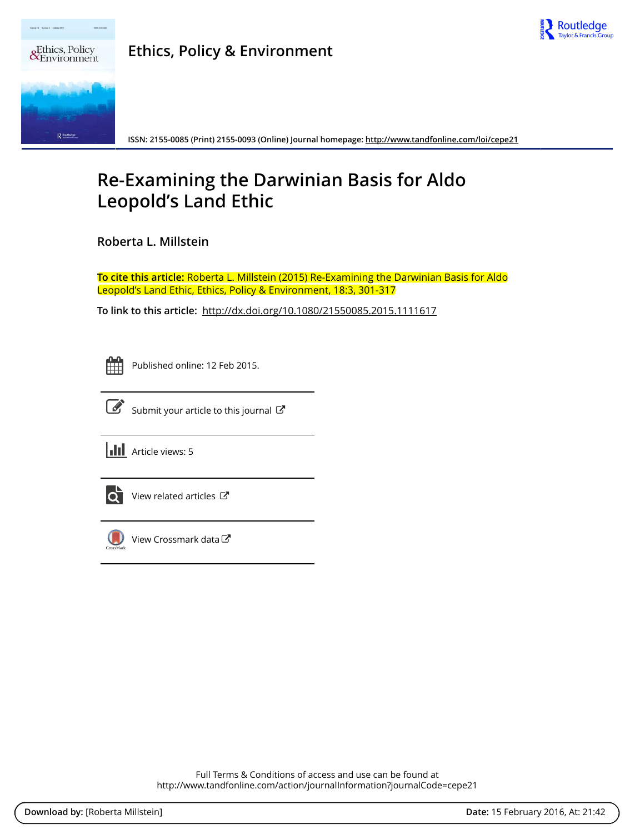

| сy<br>ent | <b>Ethics, Policy &amp; Environment</b> |
|-----------|-----------------------------------------|
|           |                                         |



ISSN: 2155-0085 (Print) 2155-0093 (Online) Journal homepage: http://www.tandfonline.com/loi/cepe21

# Re-Examining the Darwinian Basis for Aldo **Leopold's Land Ethic**

Roberta L. Millstein

To cite this article: Roberta L. Millstein (2015) Re-Examining the Darwinian Basis for Aldo Leopold's Land Ethic, Ethics, Policy & Environment, 18:3, 301-317

To link to this article: http://dx.doi.org/10.1080/21550085.2015.1111617

Published online: 12 Feb 2015.



Submit your article to this journal C





 $\overrightarrow{Q}$  View related articles  $\overrightarrow{C}$ 



 $\left(\begin{matrix}\end{matrix}\right)$  View Crossmark data $\mathbb{Z}$ 

Full Terms & Conditions of access and use can be found at http://www.tandfonline.com/action/journalInformation?journalCode=cepe21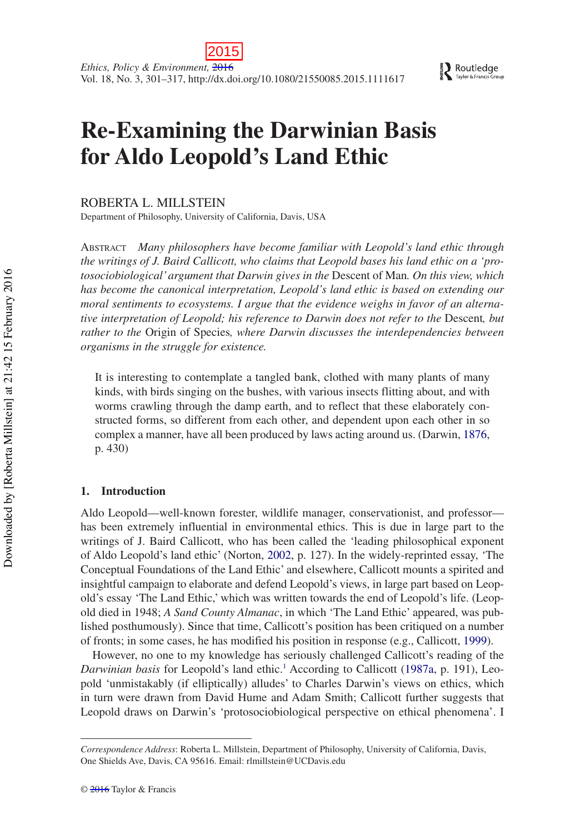# **Re-Examining the Darwinian Basis for Aldo Leopold's Land Ethic**

ROBERTA L. MILLSTEIN

Department of Philosophy, University of California, Davis, USA

ABSTRACT *Many philosophers have become familiar with Leopold's land ethic through the writings of J. Baird Callicott, who claims that Leopold bases his land ethic on a 'protosociobiological' argument that Darwin gives in the* Descent of Man*. On this view, which has become the canonical interpretation, Leopold's land ethic is based on extending our moral sentiments to ecosystems. I argue that the evidence weighs in favor of an alternative interpretation of Leopold; his reference to Darwin does not refer to the* Descent*, but rather to the* Origin of Species*, where Darwin discusses the interdependencies between organisms in the struggle for existence.*

It is interesting to contemplate a tangled bank, clothed with many plants of many kinds, with birds singing on the bushes, with various insects flitting about, and with worms crawling through the damp earth, and to reflect that these elaborately constructed forms, so different from each other, and dependent upon each other in so complex a manner, have all been produced by laws acting around us. (Darwin, [1876,](#page-16-0) p. 430)

# **1. Introduction**

Aldo Leopold––well-known forester, wildlife manager, conservationist, and professor–– has been extremely influential in environmental ethics. This is due in large part to the writings of J. Baird Callicott, who has been called the 'leading philosophical exponent of Aldo Leopold's land ethic' (Norton, [2002,](#page-17-0) p. 127). In the widely-reprinted essay, 'The Conceptual Foundations of the Land Ethic' and elsewhere, Callicott mounts a spirited and insightful campaign to elaborate and defend Leopold's views, in large part based on Leopold's essay 'The Land Ethic,' which was written towards the end of Leopold's life. (Leopold died in 1948; *A Sand County Almanac*, in which 'The Land Ethic' appeared, was published posthumously). Since that time, Callicott's position has been critiqued on a number of fronts; in some cases, he has modified his position in response (e.g., Callicott, [1999\)](#page-16-1).

However, no one to my knowledge has seriously challenged Callicott's reading of the Darwinian basis for Leopold's land ethic.<sup>[1](#page-13-0)</sup> According to Callicott ([1987a,](#page-15-0) p. 191), Leopold 'unmistakably (if elliptically) alludes' to Charles Darwin's views on ethics, which in turn were drawn from David Hume and Adam Smith; Callicott further suggests that Leopold draws on Darwin's 'protosociobiological perspective on ethical phenomena'. I

*Correspondence Address*: Roberta L. Millstein, Department of Philosophy, University of California, Davis, One Shields Ave, Davis, CA 95616. Email: [rlmillstein@UCDavis.edu](mailto:rlmillstein@UCDavis.edu)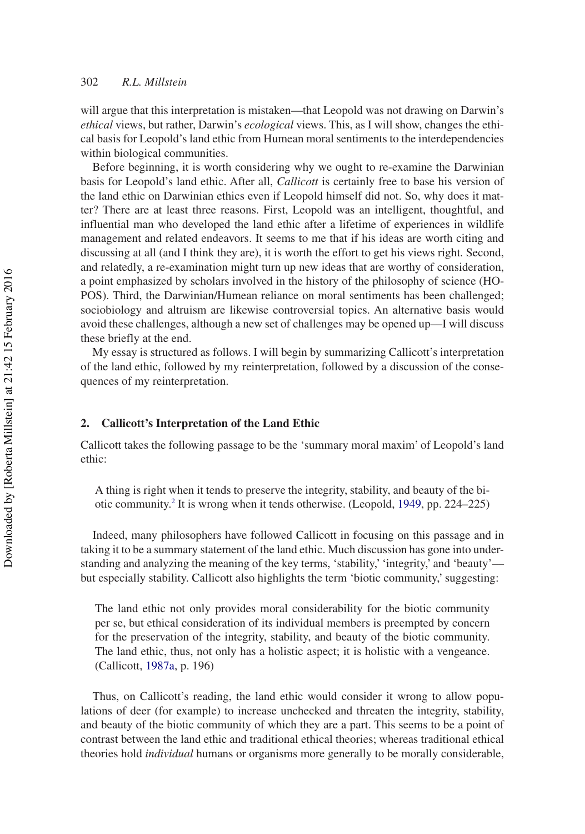will argue that this interpretation is mistaken––that Leopold was not drawing on Darwin's *ethical* views, but rather, Darwin's *ecological* views. This, as I will show, changes the ethical basis for Leopold's land ethic from Humean moral sentiments to the interdependencies within biological communities.

Before beginning, it is worth considering why we ought to re-examine the Darwinian basis for Leopold's land ethic. After all, *Callicott* is certainly free to base his version of the land ethic on Darwinian ethics even if Leopold himself did not. So, why does it matter? There are at least three reasons. First, Leopold was an intelligent, thoughtful, and influential man who developed the land ethic after a lifetime of experiences in wildlife management and related endeavors. It seems to me that if his ideas are worth citing and discussing at all (and I think they are), it is worth the effort to get his views right. Second, and relatedly, a re-examination might turn up new ideas that are worthy of consideration, a point emphasized by scholars involved in the history of the philosophy of science (HO-POS). Third, the Darwinian/Humean reliance on moral sentiments has been challenged; sociobiology and altruism are likewise controversial topics. An alternative basis would avoid these challenges, although a new set of challenges may be opened up––I will discuss these briefly at the end.

My essay is structured as follows. I will begin by summarizing Callicott's interpretation of the land ethic, followed by my reinterpretation, followed by a discussion of the consequences of my reinterpretation.

## **2. Callicott's Interpretation of the Land Ethic**

Callicott takes the following passage to be the 'summary moral maxim' of Leopold's land ethic:

A thing is right when it tends to preserve the integrity, stability, and beauty of the bi-otic community.<sup>[2](#page-14-0)</sup> It is wrong when it tends otherwise. (Leopold, [1949](#page-16-2), pp. 224–225)

Indeed, many philosophers have followed Callicott in focusing on this passage and in taking it to be a summary statement of the land ethic. Much discussion has gone into understanding and analyzing the meaning of the key terms, 'stability,' 'integrity,' and 'beauty'–– but especially stability. Callicott also highlights the term 'biotic community,' suggesting:

The land ethic not only provides moral considerability for the biotic community per se, but ethical consideration of its individual members is preempted by concern for the preservation of the integrity, stability, and beauty of the biotic community. The land ethic, thus, not only has a holistic aspect; it is holistic with a vengeance. (Callicott, [1987a](#page-15-0), p. 196)

Thus, on Callicott's reading, the land ethic would consider it wrong to allow populations of deer (for example) to increase unchecked and threaten the integrity, stability, and beauty of the biotic community of which they are a part. This seems to be a point of contrast between the land ethic and traditional ethical theories; whereas traditional ethical theories hold *individual* humans or organisms more generally to be morally considerable,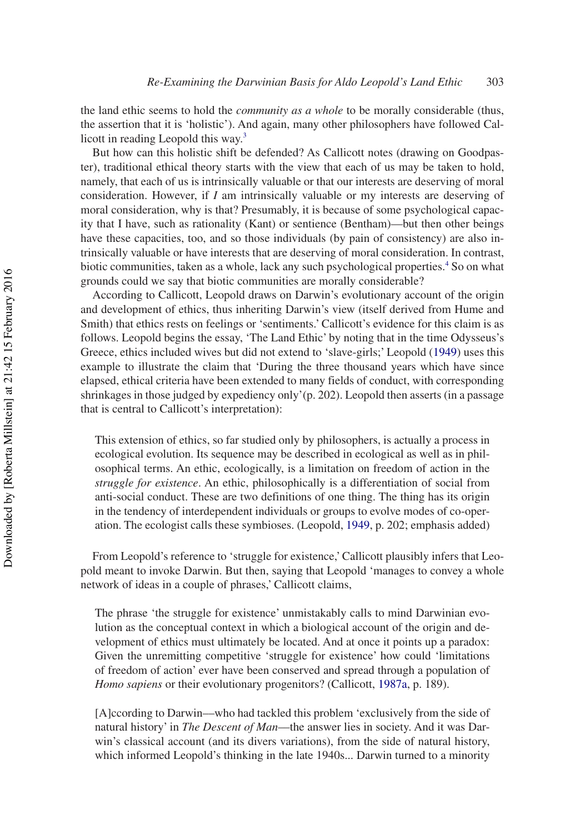the land ethic seems to hold the *community as a whole* to be morally considerable (thus, the assertion that it is 'holistic'). And again, many other philosophers have followed Callicott in reading Leopold this way[.3](#page-14-1)

But how can this holistic shift be defended? As Callicott notes (drawing on Goodpaster), traditional ethical theory starts with the view that each of us may be taken to hold, namely, that each of us is intrinsically valuable or that our interests are deserving of moral consideration. However, if *I* am intrinsically valuable or my interests are deserving of moral consideration, why is that? Presumably, it is because of some psychological capacity that I have, such as rationality (Kant) or sentience (Bentham)––but then other beings have these capacities, too, and so those individuals (by pain of consistency) are also intrinsically valuable or have interests that are deserving of moral consideration. In contrast, biotic communities, taken as a whole, lack any such psychological properties.<sup>[4](#page-14-2)</sup> So on what grounds could we say that biotic communities are morally considerable?

According to Callicott, Leopold draws on Darwin's evolutionary account of the origin and development of ethics, thus inheriting Darwin's view (itself derived from Hume and Smith) that ethics rests on feelings or 'sentiments.' Callicott's evidence for this claim is as follows. Leopold begins the essay, 'The Land Ethic' by noting that in the time Odysseus's Greece, ethics included wives but did not extend to 'slave-girls;' Leopold [\(1949](#page-16-2)) uses this example to illustrate the claim that 'During the three thousand years which have since elapsed, ethical criteria have been extended to many fields of conduct, with corresponding shrinkages in those judged by expediency only'(p. 202). Leopold then asserts (in a passage that is central to Callicott's interpretation):

This extension of ethics, so far studied only by philosophers, is actually a process in ecological evolution. Its sequence may be described in ecological as well as in philosophical terms. An ethic, ecologically, is a limitation on freedom of action in the *struggle for existence*. An ethic, philosophically is a differentiation of social from anti-social conduct. These are two definitions of one thing. The thing has its origin in the tendency of interdependent individuals or groups to evolve modes of co-operation. The ecologist calls these symbioses. (Leopold, [1949,](#page-16-2) p. 202; emphasis added)

From Leopold's reference to 'struggle for existence,' Callicott plausibly infers that Leopold meant to invoke Darwin. But then, saying that Leopold 'manages to convey a whole network of ideas in a couple of phrases,' Callicott claims,

The phrase 'the struggle for existence' unmistakably calls to mind Darwinian evolution as the conceptual context in which a biological account of the origin and development of ethics must ultimately be located. And at once it points up a paradox: Given the unremitting competitive 'struggle for existence' how could 'limitations of freedom of action' ever have been conserved and spread through a population of *Homo sapiens* or their evolutionary progenitors? (Callicott, [1987a](#page-15-0), p. 189).

[A]ccording to Darwin––who had tackled this problem 'exclusively from the side of natural history' in *The Descent of Man*––the answer lies in society. And it was Darwin's classical account (and its divers variations), from the side of natural history, which informed Leopold's thinking in the late 1940s... Darwin turned to a minority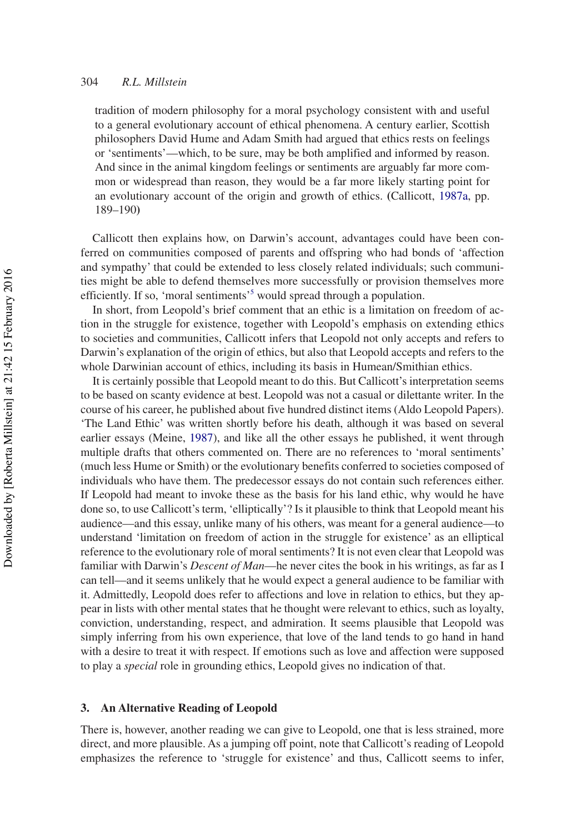tradition of modern philosophy for a moral psychology consistent with and useful to a general evolutionary account of ethical phenomena. A century earlier, Scottish philosophers David Hume and Adam Smith had argued that ethics rests on feelings or 'sentiments'––which, to be sure, may be both amplified and informed by reason. And since in the animal kingdom feelings or sentiments are arguably far more common or widespread than reason, they would be a far more likely starting point for an evolutionary account of the origin and growth of ethics. **(**Callicott, [1987a,](#page-15-0) pp. 189–190**)**

Callicott then explains how, on Darwin's account, advantages could have been conferred on communities composed of parents and offspring who had bonds of 'affection and sympathy' that could be extended to less closely related individuals; such communities might be able to defend themselves more successfully or provision themselves more efficiently. If so, 'moral sentiments'<sup>5</sup> would spread through a population.

In short, from Leopold's brief comment that an ethic is a limitation on freedom of action in the struggle for existence, together with Leopold's emphasis on extending ethics to societies and communities, Callicott infers that Leopold not only accepts and refers to Darwin's explanation of the origin of ethics, but also that Leopold accepts and refers to the whole Darwinian account of ethics, including its basis in Humean/Smithian ethics.

It is certainly possible that Leopold meant to do this. But Callicott's interpretation seems to be based on scanty evidence at best. Leopold was not a casual or dilettante writer. In the course of his career, he published about five hundred distinct items (Aldo Leopold Papers). 'The Land Ethic' was written shortly before his death, although it was based on several earlier essays (Meine, [1987\)](#page-16-3), and like all the other essays he published, it went through multiple drafts that others commented on. There are no references to 'moral sentiments' (much less Hume or Smith) or the evolutionary benefits conferred to societies composed of individuals who have them. The predecessor essays do not contain such references either. If Leopold had meant to invoke these as the basis for his land ethic, why would he have done so, to use Callicott's term, 'elliptically'? Is it plausible to think that Leopold meant his audience––and this essay, unlike many of his others, was meant for a general audience––to understand 'limitation on freedom of action in the struggle for existence' as an elliptical reference to the evolutionary role of moral sentiments? It is not even clear that Leopold was familiar with Darwin's *Descent of Man*––he never cites the book in his writings, as far as I can tell––and it seems unlikely that he would expect a general audience to be familiar with it. Admittedly, Leopold does refer to affections and love in relation to ethics, but they appear in lists with other mental states that he thought were relevant to ethics, such as loyalty, conviction, understanding, respect, and admiration. It seems plausible that Leopold was simply inferring from his own experience, that love of the land tends to go hand in hand with a desire to treat it with respect. If emotions such as love and affection were supposed to play a *special* role in grounding ethics, Leopold gives no indication of that.

## **3. An Alternative Reading of Leopold**

There is, however, another reading we can give to Leopold, one that is less strained, more direct, and more plausible. As a jumping off point, note that Callicott's reading of Leopold emphasizes the reference to 'struggle for existence' and thus, Callicott seems to infer,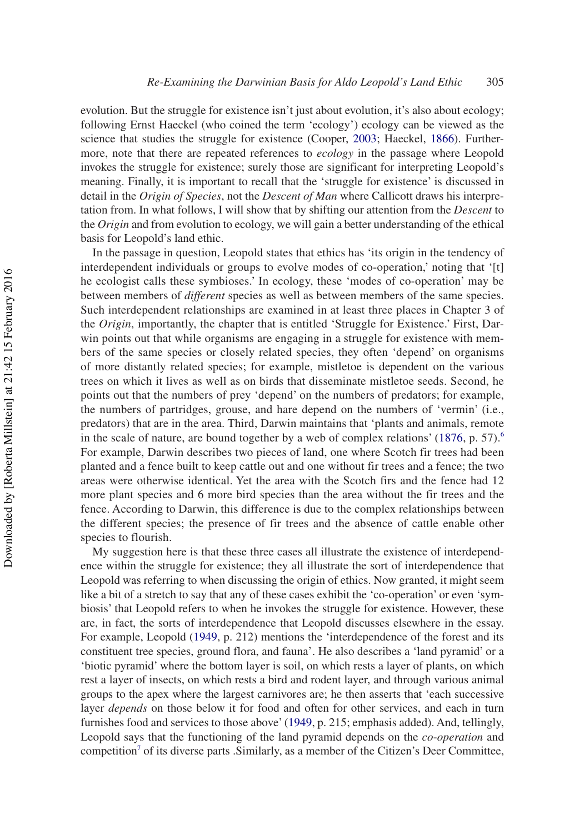evolution. But the struggle for existence isn't just about evolution, it's also about ecology; following Ernst Haeckel (who coined the term 'ecology') ecology can be viewed as the science that studies the struggle for existence (Cooper, [2003;](#page-16-4) Haeckel, [1866](#page-16-5)). Furthermore, note that there are repeated references to *ecology* in the passage where Leopold invokes the struggle for existence; surely those are significant for interpreting Leopold's meaning. Finally, it is important to recall that the 'struggle for existence' is discussed in detail in the *Origin of Species*, not the *Descent of Man* where Callicott draws his interpretation from. In what follows, I will show that by shifting our attention from the *Descent* to the *Origin* and from evolution to ecology, we will gain a better understanding of the ethical basis for Leopold's land ethic.

In the passage in question, Leopold states that ethics has 'its origin in the tendency of interdependent individuals or groups to evolve modes of co-operation,' noting that '[t] he ecologist calls these symbioses.' In ecology, these 'modes of co-operation' may be between members of *different* species as well as between members of the same species. Such interdependent relationships are examined in at least three places in Chapter 3 of the *Origin*, importantly, the chapter that is entitled 'Struggle for Existence.' First, Darwin points out that while organisms are engaging in a struggle for existence with members of the same species or closely related species, they often 'depend' on organisms of more distantly related species; for example, mistletoe is dependent on the various trees on which it lives as well as on birds that disseminate mistletoe seeds. Second, he points out that the numbers of prey 'depend' on the numbers of predators; for example, the numbers of partridges, grouse, and hare depend on the numbers of 'vermin' (i.e., predators) that are in the area. Third, Darwin maintains that 'plants and animals, remote in the scale of nature, are bound together by a web of complex relations'  $(1876, p. 57)^6$  $(1876, p. 57)^6$ . For example, Darwin describes two pieces of land, one where Scotch fir trees had been planted and a fence built to keep cattle out and one without fir trees and a fence; the two areas were otherwise identical. Yet the area with the Scotch firs and the fence had 12 more plant species and 6 more bird species than the area without the fir trees and the fence. According to Darwin, this difference is due to the complex relationships between the different species; the presence of fir trees and the absence of cattle enable other species to flourish.

My suggestion here is that these three cases all illustrate the existence of interdependence within the struggle for existence; they all illustrate the sort of interdependence that Leopold was referring to when discussing the origin of ethics. Now granted, it might seem like a bit of a stretch to say that any of these cases exhibit the 'co-operation' or even 'symbiosis' that Leopold refers to when he invokes the struggle for existence. However, these are, in fact, the sorts of interdependence that Leopold discusses elsewhere in the essay. For example, Leopold [\(1949](#page-16-2), p. 212) mentions the 'interdependence of the forest and its constituent tree species, ground flora, and fauna'. He also describes a 'land pyramid' or a 'biotic pyramid' where the bottom layer is soil, on which rests a layer of plants, on which rest a layer of insects, on which rests a bird and rodent layer, and through various animal groups to the apex where the largest carnivores are; he then asserts that 'each successive layer *depends* on those below it for food and often for other services, and each in turn furnishes food and services to those above' [\(1949](#page-16-2), p. 215; emphasis added). And, tellingly, Leopold says that the functioning of the land pyramid depends on the *co*-*operation* and competition<sup>[7](#page-14-5)</sup> of its diverse parts .Similarly, as a member of the Citizen's Deer Committee,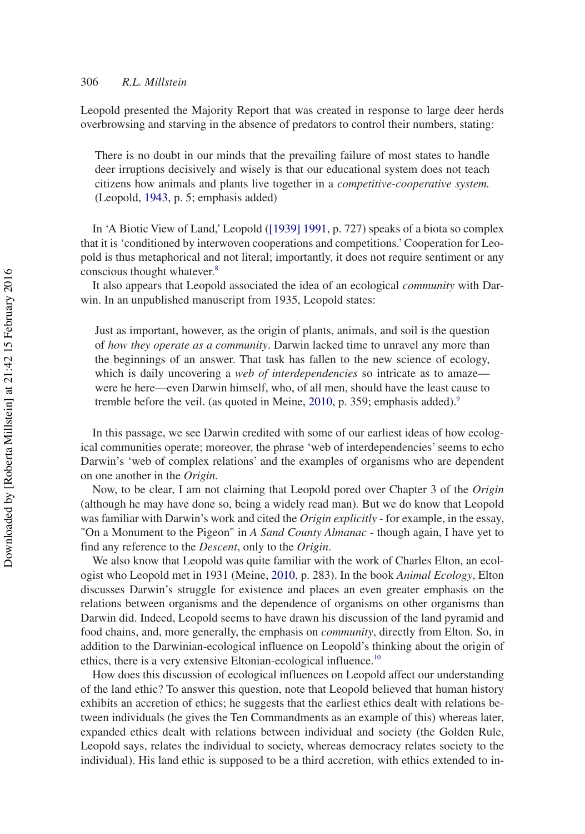Leopold presented the Majority Report that was created in response to large deer herds overbrowsing and starving in the absence of predators to control their numbers, stating:

There is no doubt in our minds that the prevailing failure of most states to handle deer irruptions decisively and wisely is that our educational system does not teach citizens how animals and plants live together in a *competitive*-*cooperative system.* (Leopold, [1943,](#page-16-6) p. 5; emphasis added)

In 'A Biotic View of Land,' Leopold ([\[1939\] 1991,](#page-16-7) p. 727) speaks of a biota so complex that it is 'conditioned by interwoven cooperations and competitions.' Cooperation for Leopold is thus metaphorical and not literal; importantly, it does not require sentiment or any conscious thought whatever.<sup>8</sup>

It also appears that Leopold associated the idea of an ecological *community* with Darwin. In an unpublished manuscript from 1935, Leopold states:

Just as important, however, as the origin of plants, animals, and soil is the question of *how they operate as a community*. Darwin lacked time to unravel any more than the beginnings of an answer. That task has fallen to the new science of ecology, which is daily uncovering a *web of interdependencies* so intricate as to amaze were he here––even Darwin himself, who, of all men, should have the least cause to tremble before the veil. (as quoted in Meine, [2010](#page-16-8), p. 359; emphasis added).<sup>9</sup>

In this passage, we see Darwin credited with some of our earliest ideas of how ecological communities operate; moreover, the phrase 'web of interdependencies' seems to echo Darwin's 'web of complex relations' and the examples of organisms who are dependent on one another in the *Origin.*

Now, to be clear, I am not claiming that Leopold pored over Chapter 3 of the *Origin* (although he may have done so, being a widely read man)*.* But we do know that Leopold was familiar with Darwin's work and cited the *Origin explicitly* - for example, in the essay, "On a Monument to the Pigeon" in *A Sand County Almanac* - though again, I have yet to find any reference to the *Descent*, only to the *Origin*.

We also know that Leopold was quite familiar with the work of Charles Elton, an ecologist who Leopold met in 1931 (Meine, [2010,](#page-16-8) p. 283). In the book *Animal Ecology*, Elton discusses Darwin's struggle for existence and places an even greater emphasis on the relations between organisms and the dependence of organisms on other organisms than Darwin did. Indeed, Leopold seems to have drawn his discussion of the land pyramid and food chains, and, more generally, the emphasis on *community*, directly from Elton. So, in addition to the Darwinian-ecological influence on Leopold's thinking about the origin of ethics, there is a very extensive Eltonian-ecological influence.<sup>10</sup>

How does this discussion of ecological influences on Leopold affect our understanding of the land ethic? To answer this question, note that Leopold believed that human history exhibits an accretion of ethics; he suggests that the earliest ethics dealt with relations between individuals (he gives the Ten Commandments as an example of this) whereas later, expanded ethics dealt with relations between individual and society (the Golden Rule, Leopold says, relates the individual to society, whereas democracy relates society to the individual). His land ethic is supposed to be a third accretion, with ethics extended to in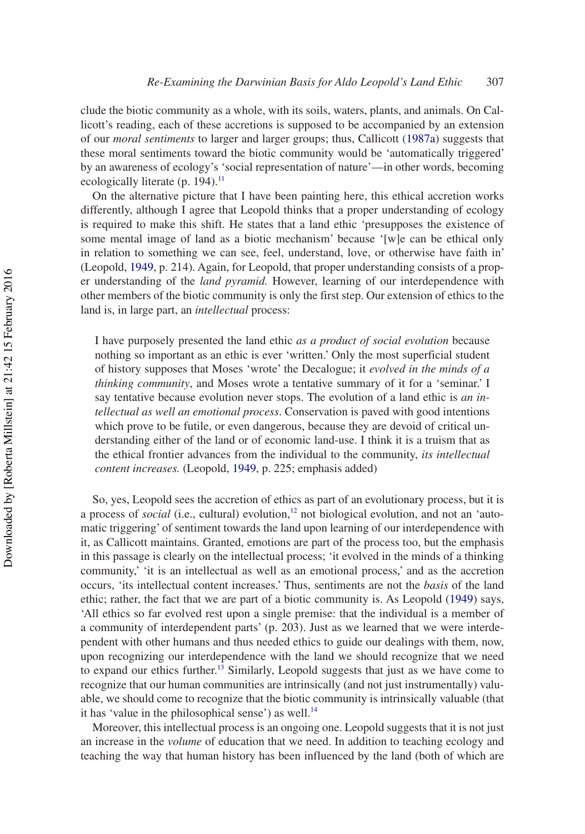clude the biotic community as a whole, with its soils, waters, plants, and animals. On Callicott's reading, each of these accretions is supposed to be accompanied by an extension of our *moral sentiments* to larger and larger groups; thus, Callicott ([1987a](#page-15-0)) suggests that these moral sentiments toward the biotic community would be 'automatically triggered' by an awareness of ecology's 'social representation of nature'––in other words, becoming ecologically literate (p. 194).<sup>[11](#page-14-9)</sup>

On the alternative picture that I have been painting here, this ethical accretion works differently, although I agree that Leopold thinks that a proper understanding of ecology is required to make this shift. He states that a land ethic 'presupposes the existence of some mental image of land as a biotic mechanism' because '[w]e can be ethical only in relation to something we can see, feel, understand, love, or otherwise have faith in' (Leopold, [1949](#page-16-2), p. 214). Again, for Leopold, that proper understanding consists of a proper understanding of the *land pyramid.* However, learning of our interdependence with other members of the biotic community is only the first step. Our extension of ethics to the land is, in large part, an *intellectual* process:

I have purposely presented the land ethic *as a product of social evolution* because nothing so important as an ethic is ever 'written.' Only the most superficial student of history supposes that Moses 'wrote' the Decalogue; it *evolved in the minds of a thinking community*, and Moses wrote a tentative summary of it for a 'seminar.' I say tentative because evolution never stops. The evolution of a land ethic is *an intellectual as well an emotional process*. Conservation is paved with good intentions which prove to be futile, or even dangerous, because they are devoid of critical understanding either of the land or of economic land-use. I think it is a truism that as the ethical frontier advances from the individual to the community, *its intellectual content increases.* (Leopold, [1949](#page-16-2), p. 225; emphasis added)

So, yes, Leopold sees the accretion of ethics as part of an evolutionary process, but it is a process of *social* (i.e., cultural) evolution,<sup>12</sup> not biological evolution, and not an 'automatic triggering' of sentiment towards the land upon learning of our interdependence with it, as Callicott maintains. Granted, emotions are part of the process too, but the emphasis in this passage is clearly on the intellectual process; 'it evolved in the minds of a thinking community,' 'it is an intellectual as well as an emotional process,' and as the accretion occurs, 'its intellectual content increases.' Thus, sentiments are not the *basis* of the land ethic; rather, the fact that we are part of a biotic community is. As Leopold [\(1949](#page-16-2)) says, 'All ethics so far evolved rest upon a single premise: that the individual is a member of a community of interdependent parts' (p. 203). Just as we learned that we were interdependent with other humans and thus needed ethics to guide our dealings with them, now, upon recognizing our interdependence with the land we should recognize that we need to expand our ethics further.<sup>13</sup> Similarly, Leopold suggests that just as we have come to recognize that our human communities are intrinsically (and not just instrumentally) valuable, we should come to recognize that the biotic community is intrinsically valuable (that it has 'value in the philosophical sense') as well.<sup>[14](#page-14-12)</sup>

Moreover, this intellectual process is an ongoing one. Leopold suggests that it is not just an increase in the *volume* of education that we need. In addition to teaching ecology and teaching the way that human history has been influenced by the land (both of which are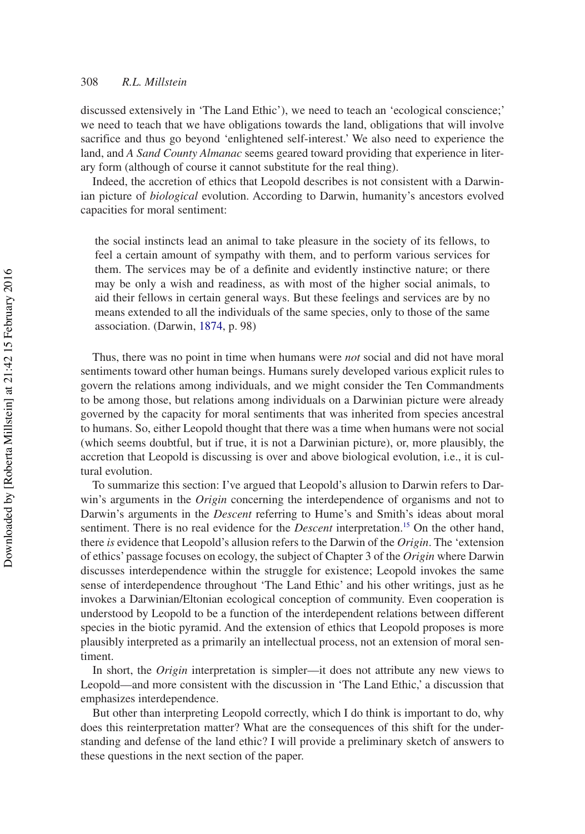discussed extensively in 'The Land Ethic'), we need to teach an 'ecological conscience;' we need to teach that we have obligations towards the land, obligations that will involve sacrifice and thus go beyond 'enlightened self-interest.' We also need to experience the land, and *A Sand County Almanac* seems geared toward providing that experience in literary form (although of course it cannot substitute for the real thing).

Indeed, the accretion of ethics that Leopold describes is not consistent with a Darwinian picture of *biological* evolution. According to Darwin, humanity's ancestors evolved capacities for moral sentiment:

the social instincts lead an animal to take pleasure in the society of its fellows, to feel a certain amount of sympathy with them, and to perform various services for them. The services may be of a definite and evidently instinctive nature; or there may be only a wish and readiness, as with most of the higher social animals, to aid their fellows in certain general ways. But these feelings and services are by no means extended to all the individuals of the same species, only to those of the same association. (Darwin, [1874,](#page-16-9) p. 98)

Thus, there was no point in time when humans were *not* social and did not have moral sentiments toward other human beings. Humans surely developed various explicit rules to govern the relations among individuals, and we might consider the Ten Commandments to be among those, but relations among individuals on a Darwinian picture were already governed by the capacity for moral sentiments that was inherited from species ancestral to humans. So, either Leopold thought that there was a time when humans were not social (which seems doubtful, but if true, it is not a Darwinian picture), or, more plausibly, the accretion that Leopold is discussing is over and above biological evolution, i.e., it is cultural evolution.

To summarize this section: I've argued that Leopold's allusion to Darwin refers to Darwin's arguments in the *Origin* concerning the interdependence of organisms and not to Darwin's arguments in the *Descent* referring to Hume's and Smith's ideas about moral sentiment. There is no real evidence for the *Descent* interpretation.<sup>15</sup> On the other hand, there *is* evidence that Leopold's allusion refers to the Darwin of the *Origin*. The 'extension of ethics' passage focuses on ecology, the subject of Chapter 3 of the *Origin* where Darwin discusses interdependence within the struggle for existence; Leopold invokes the same sense of interdependence throughout 'The Land Ethic' and his other writings, just as he invokes a Darwinian/Eltonian ecological conception of community. Even cooperation is understood by Leopold to be a function of the interdependent relations between different species in the biotic pyramid. And the extension of ethics that Leopold proposes is more plausibly interpreted as a primarily an intellectual process, not an extension of moral sentiment.

In short, the *Origin* interpretation is simpler—it does not attribute any new views to Leopold––and more consistent with the discussion in 'The Land Ethic,' a discussion that emphasizes interdependence.

But other than interpreting Leopold correctly, which I do think is important to do, why does this reinterpretation matter? What are the consequences of this shift for the understanding and defense of the land ethic? I will provide a preliminary sketch of answers to these questions in the next section of the paper.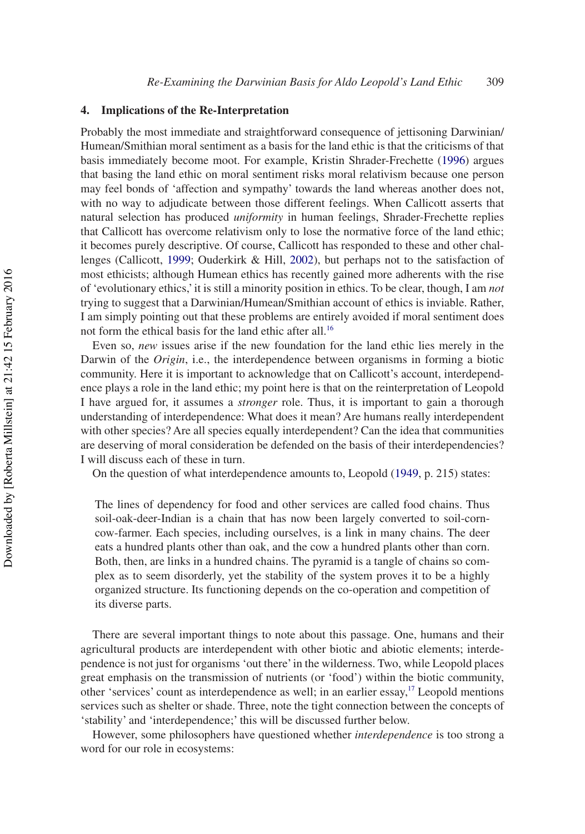#### **4. Implications of the Re-Interpretation**

Probably the most immediate and straightforward consequence of jettisoning Darwinian/ Humean/Smithian moral sentiment as a basis for the land ethic is that the criticisms of that basis immediately become moot. For example, Kristin Shrader-Frechette [\(1996](#page-17-1)) argues that basing the land ethic on moral sentiment risks moral relativism because one person may feel bonds of 'affection and sympathy' towards the land whereas another does not, with no way to adjudicate between those different feelings. When Callicott asserts that natural selection has produced *uniformity* in human feelings, Shrader-Frechette replies that Callicott has overcome relativism only to lose the normative force of the land ethic; it becomes purely descriptive. Of course, Callicott has responded to these and other challenges (Callicott, [1999;](#page-16-1) Ouderkirk & Hill, [2002\)](#page-17-2), but perhaps not to the satisfaction of most ethicists; although Humean ethics has recently gained more adherents with the rise of 'evolutionary ethics,' it is still a minority position in ethics. To be clear, though, I am *not* trying to suggest that a Darwinian/Humean/Smithian account of ethics is inviable. Rather, I am simply pointing out that these problems are entirely avoided if moral sentiment does not form the ethical basis for the land ethic after all[.16](#page-15-1)

Even so, *new* issues arise if the new foundation for the land ethic lies merely in the Darwin of the *Origin*, i.e., the interdependence between organisms in forming a biotic community. Here it is important to acknowledge that on Callicott's account, interdependence plays a role in the land ethic; my point here is that on the reinterpretation of Leopold I have argued for, it assumes a *stronger* role. Thus, it is important to gain a thorough understanding of interdependence: What does it mean? Are humans really interdependent with other species? Are all species equally interdependent? Can the idea that communities are deserving of moral consideration be defended on the basis of their interdependencies? I will discuss each of these in turn.

On the question of what interdependence amounts to, Leopold ([1949,](#page-16-2) p. 215) states:

The lines of dependency for food and other services are called food chains. Thus soil-oak-deer-Indian is a chain that has now been largely converted to soil-corncow-farmer. Each species, including ourselves, is a link in many chains. The deer eats a hundred plants other than oak, and the cow a hundred plants other than corn. Both, then, are links in a hundred chains. The pyramid is a tangle of chains so complex as to seem disorderly, yet the stability of the system proves it to be a highly organized structure. Its functioning depends on the co-operation and competition of its diverse parts.

There are several important things to note about this passage. One, humans and their agricultural products are interdependent with other biotic and abiotic elements; interdependence is not just for organisms 'out there' in the wilderness. Two, while Leopold places great emphasis on the transmission of nutrients (or 'food') within the biotic community, other 'services' count as interdependence as well; in an earlier essay[,17](#page-15-2) Leopold mentions services such as shelter or shade. Three, note the tight connection between the concepts of 'stability' and 'interdependence;' this will be discussed further below.

However, some philosophers have questioned whether *interdependence* is too strong a word for our role in ecosystems: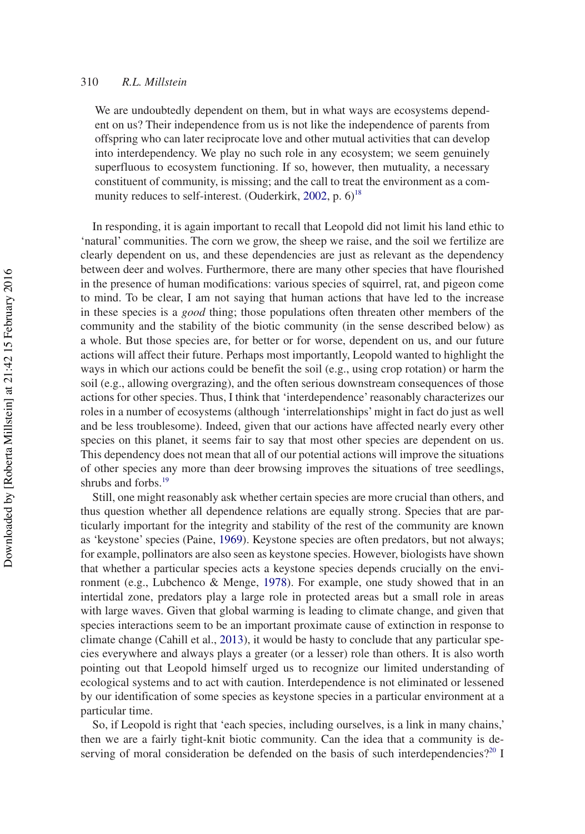We are undoubtedly dependent on them, but in what ways are ecosystems dependent on us? Their independence from us is not like the independence of parents from offspring who can later reciprocate love and other mutual activities that can develop into interdependency. We play no such role in any ecosystem; we seem genuinely superfluous to ecosystem functioning. If so, however, then mutuality, a necessary constituent of community, is missing; and the call to treat the environment as a com-munity reduces to self-interest. (Ouderkirk, [2002,](#page-17-3) p.  $6$ )<sup>18</sup>

In responding, it is again important to recall that Leopold did not limit his land ethic to 'natural' communities. The corn we grow, the sheep we raise, and the soil we fertilize are clearly dependent on us, and these dependencies are just as relevant as the dependency between deer and wolves. Furthermore, there are many other species that have flourished in the presence of human modifications: various species of squirrel, rat, and pigeon come to mind. To be clear, I am not saying that human actions that have led to the increase in these species is a *good* thing; those populations often threaten other members of the community and the stability of the biotic community (in the sense described below) as a whole. But those species are, for better or for worse, dependent on us, and our future actions will affect their future. Perhaps most importantly, Leopold wanted to highlight the ways in which our actions could be benefit the soil (e.g., using crop rotation) or harm the soil (e.g., allowing overgrazing), and the often serious downstream consequences of those actions for other species. Thus, I think that 'interdependence' reasonably characterizes our roles in a number of ecosystems (although 'interrelationships' might in fact do just as well and be less troublesome). Indeed, given that our actions have affected nearly every other species on this planet, it seems fair to say that most other species are dependent on us. This dependency does not mean that all of our potential actions will improve the situations of other species any more than deer browsing improves the situations of tree seedlings, shrubs and forbs.<sup>[19](#page-15-4)</sup>

Still, one might reasonably ask whether certain species are more crucial than others, and thus question whether all dependence relations are equally strong. Species that are particularly important for the integrity and stability of the rest of the community are known as 'keystone' species (Paine, [1969\)](#page-17-4). Keystone species are often predators, but not always; for example, pollinators are also seen as keystone species. However, biologists have shown that whether a particular species acts a keystone species depends crucially on the environment (e.g., Lubchenco & Menge, [1978](#page-16-10)). For example, one study showed that in an intertidal zone, predators play a large role in protected areas but a small role in areas with large waves. Given that global warming is leading to climate change, and given that species interactions seem to be an important proximate cause of extinction in response to climate change (Cahill et al., [2013](#page-15-5)), it would be hasty to conclude that any particular species everywhere and always plays a greater (or a lesser) role than others. It is also worth pointing out that Leopold himself urged us to recognize our limited understanding of ecological systems and to act with caution. Interdependence is not eliminated or lessened by our identification of some species as keystone species in a particular environment at a particular time.

So, if Leopold is right that 'each species, including ourselves, is a link in many chains,' then we are a fairly tight-knit biotic community. Can the idea that a community is de-serving of moral consideration be defended on the basis of such interdependencies?<sup>[20](#page-15-6)</sup> I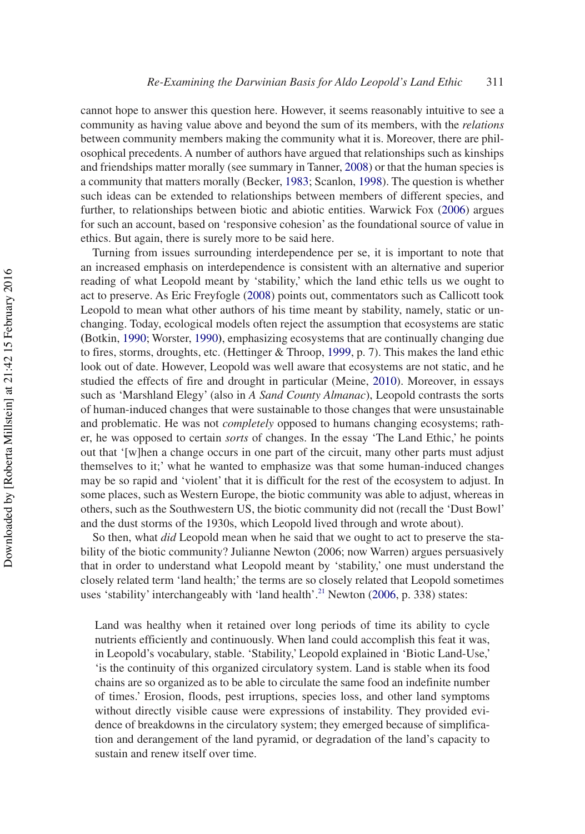cannot hope to answer this question here. However, it seems reasonably intuitive to see a community as having value above and beyond the sum of its members, with the *relations* between community members making the community what it is. Moreover, there are philosophical precedents. A number of authors have argued that relationships such as kinships and friendships matter morally (see summary in Tanner, [2008\)](#page-17-5) or that the human species is a community that matters morally (Becker, [1983](#page-15-7); Scanlon, [1998](#page-17-6)). The question is whether such ideas can be extended to relationships between members of different species, and further, to relationships between biotic and abiotic entities. Warwick Fox ([2006\)](#page-16-11) argues for such an account, based on 'responsive cohesion' as the foundational source of value in ethics. But again, there is surely more to be said here.

Turning from issues surrounding interdependence per se, it is important to note that an increased emphasis on interdependence is consistent with an alternative and superior reading of what Leopold meant by 'stability,' which the land ethic tells us we ought to act to preserve. As Eric Freyfogle [\(2008](#page-16-12)) points out, commentators such as Callicott took Leopold to mean what other authors of his time meant by stability, namely, static or unchanging. Today, ecological models often reject the assumption that ecosystems are static **(**Botkin, [1990](#page-15-8); Worster, [1990](#page-17-7)**)**, emphasizing ecosystems that are continually changing due to fires, storms, droughts, etc. (Hettinger & Throop, [1999](#page-16-13), p. 7). This makes the land ethic look out of date. However, Leopold was well aware that ecosystems are not static, and he studied the effects of fire and drought in particular (Meine, [2010\)](#page-16-8). Moreover, in essays such as 'Marshland Elegy' (also in *A Sand County Almanac*), Leopold contrasts the sorts of human-induced changes that were sustainable to those changes that were unsustainable and problematic. He was not *completely* opposed to humans changing ecosystems; rather, he was opposed to certain *sorts* of changes. In the essay 'The Land Ethic,' he points out that '[w]hen a change occurs in one part of the circuit, many other parts must adjust themselves to it;' what he wanted to emphasize was that some human-induced changes may be so rapid and 'violent' that it is difficult for the rest of the ecosystem to adjust. In some places, such as Western Europe, the biotic community was able to adjust, whereas in others, such as the Southwestern US, the biotic community did not (recall the 'Dust Bowl' and the dust storms of the 1930s, which Leopold lived through and wrote about).

So then, what *did* Leopold mean when he said that we ought to act to preserve the stability of the biotic community? Julianne Newton (2006; now Warren) argues persuasively that in order to understand what Leopold meant by 'stability,' one must understand the closely related term 'land health;' the terms are so closely related that Leopold sometimes uses 'stability' interchangeably with 'land health'.<sup>21</sup> Newton ([2006,](#page-16-14) p. 338) states:

Land was healthy when it retained over long periods of time its ability to cycle nutrients efficiently and continuously. When land could accomplish this feat it was, in Leopold's vocabulary, stable. 'Stability,' Leopold explained in 'Biotic Land-Use,' 'is the continuity of this organized circulatory system. Land is stable when its food chains are so organized as to be able to circulate the same food an indefinite number of times.' Erosion, floods, pest irruptions, species loss, and other land symptoms without directly visible cause were expressions of instability. They provided evidence of breakdowns in the circulatory system; they emerged because of simplification and derangement of the land pyramid, or degradation of the land's capacity to sustain and renew itself over time.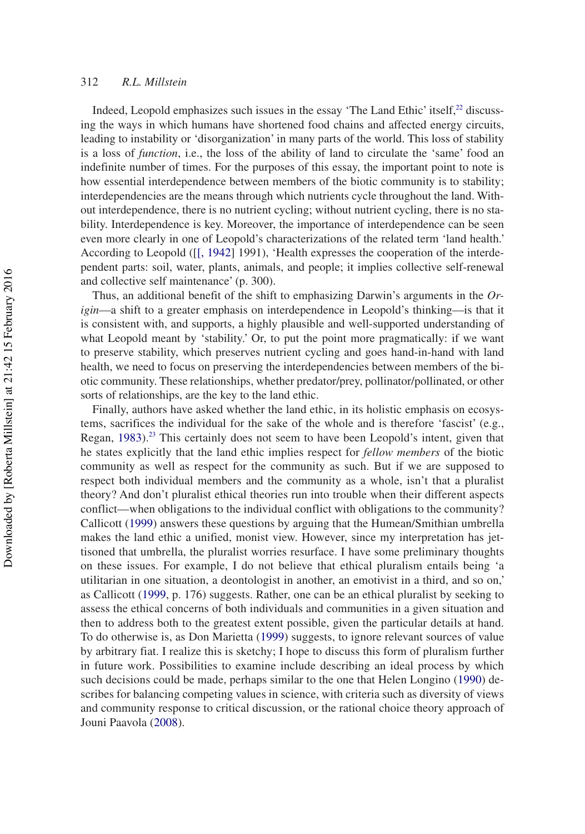Indeed, Leopold emphasizes such issues in the essay 'The Land Ethic' itself,<sup>[22](#page-15-10)</sup> discussing the ways in which humans have shortened food chains and affected energy circuits, leading to instability or 'disorganization' in many parts of the world. This loss of stability is a loss of *function*, i.e., the loss of the ability of land to circulate the 'same' food an indefinite number of times. For the purposes of this essay, the important point to note is how essential interdependence between members of the biotic community is to stability; interdependencies are the means through which nutrients cycle throughout the land. Without interdependence, there is no nutrient cycling; without nutrient cycling, there is no stability. Interdependence is key. Moreover, the importance of interdependence can be seen even more clearly in one of Leopold's characterizations of the related term 'land health.' According to Leopold ([\[\[, 1942\]](#page-16-15) 1991), 'Health expresses the cooperation of the interdependent parts: soil, water, plants, animals, and people; it implies collective self-renewal and collective self maintenance' (p. 300).

Thus, an additional benefit of the shift to emphasizing Darwin's arguments in the *Origin*—a shift to a greater emphasis on interdependence in Leopold's thinking—is that it is consistent with, and supports, a highly plausible and well-supported understanding of what Leopold meant by 'stability.' Or, to put the point more pragmatically: if we want to preserve stability, which preserves nutrient cycling and goes hand-in-hand with land health, we need to focus on preserving the interdependencies between members of the biotic community. These relationships, whether predator/prey, pollinator/pollinated, or other sorts of relationships, are the key to the land ethic.

Finally, authors have asked whether the land ethic, in its holistic emphasis on ecosystems, sacrifices the individual for the sake of the whole and is therefore 'fascist' (e.g., Regan,  $1983$ ).<sup>[23](#page-15-11)</sup> This certainly does not seem to have been Leopold's intent, given that he states explicitly that the land ethic implies respect for *fellow members* of the biotic community as well as respect for the community as such. But if we are supposed to respect both individual members and the community as a whole, isn't that a pluralist theory? And don't pluralist ethical theories run into trouble when their different aspects conflict––when obligations to the individual conflict with obligations to the community? Callicott ([1999](#page-16-1)) answers these questions by arguing that the Humean/Smithian umbrella makes the land ethic a unified, monist view. However, since my interpretation has jettisoned that umbrella, the pluralist worries resurface. I have some preliminary thoughts on these issues. For example, I do not believe that ethical pluralism entails being 'a utilitarian in one situation, a deontologist in another, an emotivist in a third, and so on,' as Callicott ([1999](#page-16-1), p. 176) suggests. Rather, one can be an ethical pluralist by seeking to assess the ethical concerns of both individuals and communities in a given situation and then to address both to the greatest extent possible, given the particular details at hand. To do otherwise is, as Don Marietta ([1999\)](#page-16-16) suggests, to ignore relevant sources of value by arbitrary fiat. I realize this is sketchy; I hope to discuss this form of pluralism further in future work. Possibilities to examine include describing an ideal process by which such decisions could be made, perhaps similar to the one that Helen Longino [\(1990](#page-16-17)) describes for balancing competing values in science, with criteria such as diversity of views and community response to critical discussion, or the rational choice theory approach of Jouni Paavola ([2008](#page-17-9)).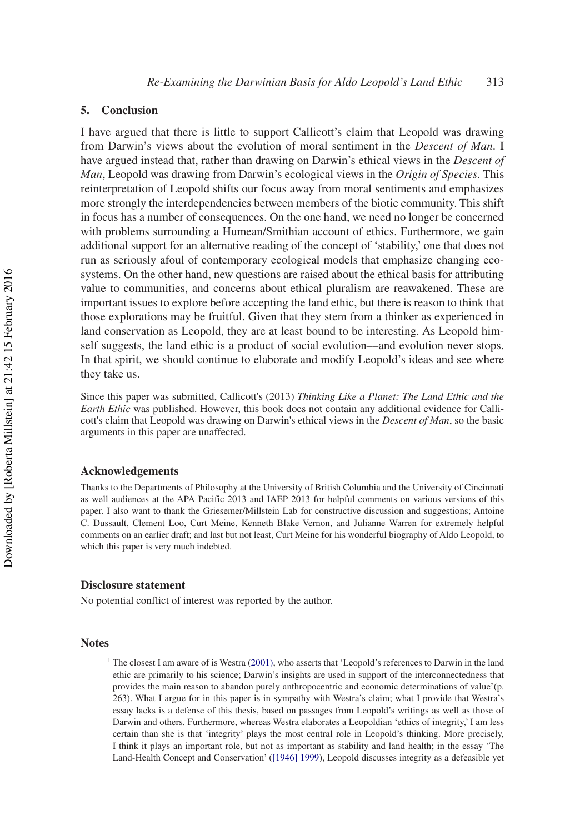## **5. Conclusion**

I have argued that there is little to support Callicott's claim that Leopold was drawing from Darwin's views about the evolution of moral sentiment in the *Descent of Man*. I have argued instead that, rather than drawing on Darwin's ethical views in the *Descent of Man*, Leopold was drawing from Darwin's ecological views in the *Origin of Species.* This reinterpretation of Leopold shifts our focus away from moral sentiments and emphasizes more strongly the interdependencies between members of the biotic community. This shift in focus has a number of consequences. On the one hand, we need no longer be concerned with problems surrounding a Humean/Smithian account of ethics. Furthermore, we gain additional support for an alternative reading of the concept of 'stability,' one that does not run as seriously afoul of contemporary ecological models that emphasize changing ecosystems. On the other hand, new questions are raised about the ethical basis for attributing value to communities, and concerns about ethical pluralism are reawakened. These are important issues to explore before accepting the land ethic, but there is reason to think that those explorations may be fruitful. Given that they stem from a thinker as experienced in land conservation as Leopold, they are at least bound to be interesting. As Leopold himself suggests, the land ethic is a product of social evolution––and evolution never stops. In that spirit, we should continue to elaborate and modify Leopold's ideas and see where they take us.

Since this paper was submitted, Callicott's (2013) *Thinking Like a Planet: The Land Ethic and the Earth Ethic* was published. However, this book does not contain any additional evidence for Callicott's claim that Leopold was drawing on Darwin's ethical views in the *Descent of Man*, so the basic arguments in this paper are unaffected.

#### **Acknowledgements**

Thanks to the Departments of Philosophy at the University of British Columbia and the University of Cincinnati as well audiences at the APA Pacific 2013 and IAEP 2013 for helpful comments on various versions of this paper. I also want to thank the Griesemer/Millstein Lab for constructive discussion and suggestions; Antoine C. Dussault, Clement Loo, Curt Meine, Kenneth Blake Vernon, and Julianne Warren for extremely helpful comments on an earlier draft; and last but not least, Curt Meine for his wonderful biography of Aldo Leopold, to which this paper is very much indebted.

## **Disclosure statement**

No potential conflict of interest was reported by the author.

#### **Notes**

<span id="page-13-0"></span><sup>1</sup> The closest I am aware of is Westra ([2001\)](#page-17-10), who asserts that 'Leopold's references to Darwin in the land ethic are primarily to his science; Darwin's insights are used in support of the interconnectedness that provides the main reason to abandon purely anthropocentric and economic determinations of value'(p. 263). What I argue for in this paper is in sympathy with Westra's claim; what I provide that Westra's essay lacks is a defense of this thesis, based on passages from Leopold's writings as well as those of Darwin and others. Furthermore, whereas Westra elaborates a Leopoldian 'ethics of integrity,' I am less certain than she is that 'integrity' plays the most central role in Leopold's thinking. More precisely, I think it plays an important role, but not as important as stability and land health; in the essay 'The Land-Health Concept and Conservation' ([\[1946\] 1999](#page-16-18)), Leopold discusses integrity as a defeasible yet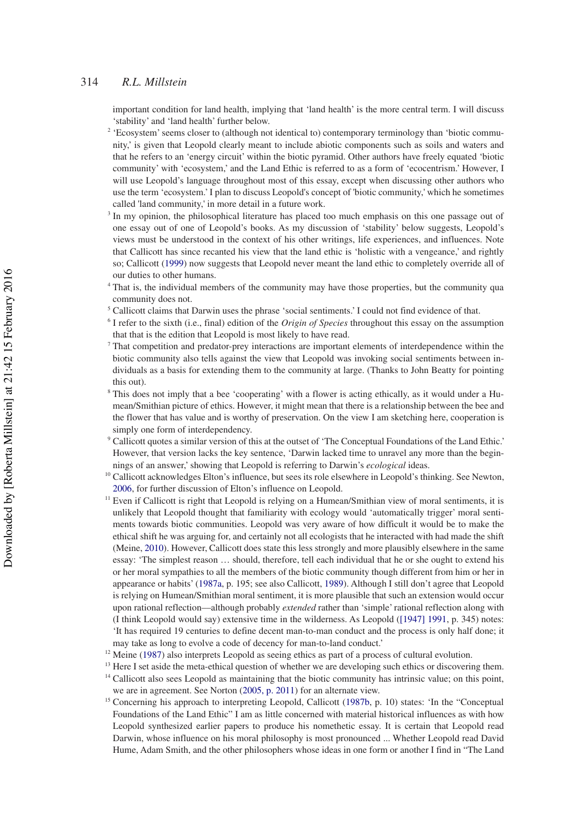important condition for land health, implying that 'land health' is the more central term. I will discuss 'stability' and 'land health' further below.

- <span id="page-14-0"></span><sup>2</sup> 'Ecosystem' seems closer to (although not identical to) contemporary terminology than 'biotic community,' is given that Leopold clearly meant to include abiotic components such as soils and waters and that he refers to an 'energy circuit' within the biotic pyramid. Other authors have freely equated 'biotic community' with 'ecosystem,' and the Land Ethic is referred to as a form of 'ecocentrism.' However, I will use Leopold's language throughout most of this essay, except when discussing other authors who use the term 'ecosystem.' I plan to discuss Leopold's concept of 'biotic community,' which he sometimes called 'land community,' in more detail in a future work.
- <span id="page-14-1"></span><sup>3</sup> In my opinion, the philosophical literature has placed too much emphasis on this one passage out of one essay out of one of Leopold's books. As my discussion of 'stability' below suggests, Leopold's views must be understood in the context of his other writings, life experiences, and influences. Note that Callicott has since recanted his view that the land ethic is 'holistic with a vengeance,' and rightly so; Callicott ([1999\)](#page-16-1) now suggests that Leopold never meant the land ethic to completely override all of our duties to other humans.
- <span id="page-14-2"></span><sup>4</sup> That is, the individual members of the community may have those properties, but the community qua community does not.
- <span id="page-14-3"></span><sup>5</sup> Callicott claims that Darwin uses the phrase 'social sentiments.' I could not find evidence of that.
- <span id="page-14-4"></span><sup>6</sup> I refer to the sixth (i.e., final) edition of the *Origin of Species* throughout this essay on the assumption that that is the edition that Leopold is most likely to have read.
- <span id="page-14-5"></span> $<sup>7</sup>$  That competition and predator-prey interactions are important elements of interdependence within the</sup> biotic community also tells against the view that Leopold was invoking social sentiments between individuals as a basis for extending them to the community at large. (Thanks to John Beatty for pointing this out).
- <span id="page-14-6"></span><sup>8</sup> This does not imply that a bee 'cooperating' with a flower is acting ethically, as it would under a Humean/Smithian picture of ethics. However, it might mean that there is a relationship between the bee and the flower that has value and is worthy of preservation. On the view I am sketching here, cooperation is simply one form of interdependency.
- <span id="page-14-7"></span><sup>9</sup> Callicott quotes a similar version of this at the outset of 'The Conceptual Foundations of the Land Ethic.' However, that version lacks the key sentence, 'Darwin lacked time to unravel any more than the beginnings of an answer,' showing that Leopold is referring to Darwin's *ecological* ideas.
- <span id="page-14-8"></span><sup>10</sup> Callicott acknowledges Elton's influence, but sees its role elsewhere in Leopold's thinking. See Newton, [2006](#page-16-14), for further discussion of Elton's influence on Leopold.
- <span id="page-14-9"></span><sup>11</sup> Even if Callicott is right that Leopold is relying on a Humean/Smithian view of moral sentiments, it is unlikely that Leopold thought that familiarity with ecology would 'automatically trigger' moral sentiments towards biotic communities. Leopold was very aware of how difficult it would be to make the ethical shift he was arguing for, and certainly not all ecologists that he interacted with had made the shift (Meine, [2010](#page-16-8)). However, Callicott does state this less strongly and more plausibly elsewhere in the same essay: 'The simplest reason … should, therefore, tell each individual that he or she ought to extend his or her moral sympathies to all the members of the biotic community though different from him or her in appearance or habits' ([1987a](#page-15-0), p. 195; see also Callicott, [1989\)](#page-16-19). Although I still don't agree that Leopold is relying on Humean/Smithian moral sentiment, it is more plausible that such an extension would occur upon rational reflection––although probably *extended* rather than 'simple' rational reflection along with (I think Leopold would say) extensive time in the wilderness. As Leopold [\(\[1947\] 1991,](#page-16-20) p. 345) notes: 'It has required 19 centuries to define decent man-to-man conduct and the process is only half done; it may take as long to evolve a code of decency for man-to-land conduct.'
- <span id="page-14-10"></span><sup>12</sup> Meine [\(1987](#page-16-3)) also interprets Leopold as seeing ethics as part of a process of cultural evolution.
- <span id="page-14-12"></span><span id="page-14-11"></span><sup>13</sup> Here I set aside the meta-ethical question of whether we are developing such ethics or discovering them. <sup>14</sup> Callicott also sees Leopold as maintaining that the biotic community has intrinsic value; on this point, we are in agreement. See Norton ([2005, p. 2011\)](#page-17-11) for an alternate view.
- <span id="page-14-13"></span><sup>15</sup> Concerning his approach to interpreting Leopold, Callicott ([1987b,](#page-15-12) p. 10) states: 'In the "Conceptual Foundations of the Land Ethic" I am as little concerned with material historical influences as with how Leopold synthesized earlier papers to produce his nomethetic essay. It is certain that Leopold read Darwin, whose influence on his moral philosophy is most pronounced ... Whether Leopold read David Hume, Adam Smith, and the other philosophers whose ideas in one form or another I find in "The Land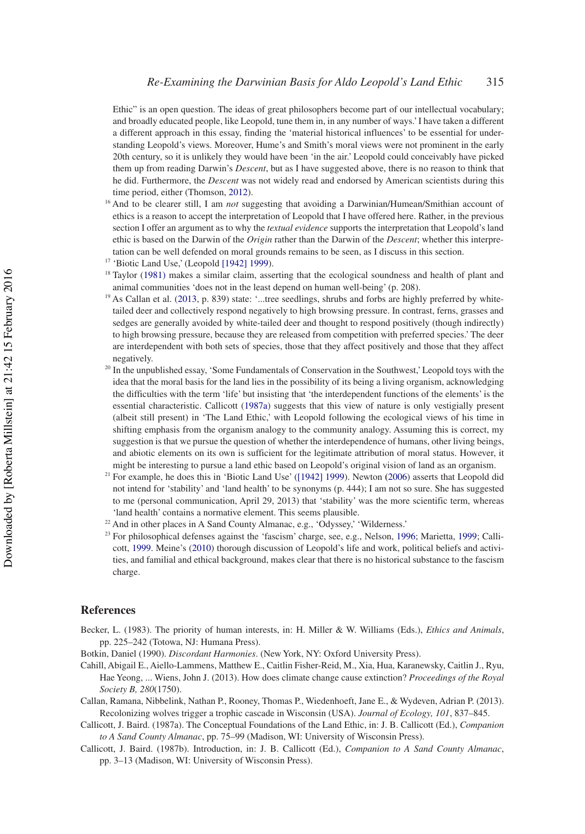Ethic" is an open question. The ideas of great philosophers become part of our intellectual vocabulary; and broadly educated people, like Leopold, tune them in, in any number of ways.' I have taken a different a different approach in this essay, finding the 'material historical influences' to be essential for understanding Leopold's views. Moreover, Hume's and Smith's moral views were not prominent in the early 20th century, so it is unlikely they would have been 'in the air.' Leopold could conceivably have picked them up from reading Darwin's *Descent*, but as I have suggested above, there is no reason to think that he did. Furthermore, the *Descent* was not widely read and endorsed by American scientists during this time period, either (Thomson, [2012\)](#page-17-12).

- <span id="page-15-1"></span><sup>16</sup> And to be clearer still, I am *not* suggesting that avoiding a Darwinian/Humean/Smithian account of ethics is a reason to accept the interpretation of Leopold that I have offered here. Rather, in the previous section I offer an argument as to why the *textual evidence* supports the interpretation that Leopold's land ethic is based on the Darwin of the *Origin* rather than the Darwin of the *Descent*; whether this interpretation can be well defended on moral grounds remains to be seen, as I discuss in this section.
- <span id="page-15-2"></span><sup>17</sup> 'Biotic Land Use,' (Leopold [\[1942\] 1999](#page-16-15)).
- <span id="page-15-3"></span><sup>18</sup> Taylor [\(1981\)](#page-17-13) makes a similar claim, asserting that the ecological soundness and health of plant and animal communities 'does not in the least depend on human well-being' (p. 208).
- <span id="page-15-4"></span><sup>19</sup> As Callan et al. [\(2013](#page-15-13), p. 839) state: '...tree seedlings, shrubs and forbs are highly preferred by whitetailed deer and collectively respond negatively to high browsing pressure. In contrast, ferns, grasses and sedges are generally avoided by white-tailed deer and thought to respond positively (though indirectly) to high browsing pressure, because they are released from competition with preferred species.' The deer are interdependent with both sets of species, those that they affect positively and those that they affect negatively.
- <span id="page-15-6"></span><sup>20</sup> In the unpublished essay, 'Some Fundamentals of Conservation in the Southwest,' Leopold toys with the idea that the moral basis for the land lies in the possibility of its being a living organism, acknowledging the difficulties with the term 'life' but insisting that 'the interdependent functions of the elements' is the essential characteristic. Callicott [\(1987a\)](#page-15-0) suggests that this view of nature is only vestigially present (albeit still present) in 'The Land Ethic,' with Leopold following the ecological views of his time in shifting emphasis from the organism analogy to the community analogy. Assuming this is correct, my suggestion is that we pursue the question of whether the interdependence of humans, other living beings, and abiotic elements on its own is sufficient for the legitimate attribution of moral status. However, it might be interesting to pursue a land ethic based on Leopold's original vision of land as an organism.
- <span id="page-15-9"></span><sup>21</sup> For example, he does this in 'Biotic Land Use' ([\[1942\] 1999](#page-16-15)). Newton **(**[2006](#page-16-14)) asserts that Leopold did not intend for 'stability' and 'land health' to be synonyms (p. 444); I am not so sure. She has suggested to me (personal communication, April 29, 2013) that 'stability' was the more scientific term, whereas 'land health' contains a normative element. This seems plausible.
- <span id="page-15-10"></span><sup>22</sup> And in other places in A Sand County Almanac, e.g., 'Odyssey,' 'Wilderness.'
- <span id="page-15-11"></span><sup>23</sup> For philosophical defenses against the 'fascism' charge, see, e.g., Nelson, [1996;](#page-16-21) Marietta, [1999](#page-16-16); Callicott, [1999](#page-16-1). Meine's [\(2010](#page-16-8)) thorough discussion of Leopold's life and work, political beliefs and activities, and familial and ethical background, makes clear that there is no historical substance to the fascism charge.

### **References**

<span id="page-15-7"></span>Becker, L. (1983). The priority of human interests, in: H. Miller & W. Williams (Eds.), *Ethics and Animals*, pp. 225–242 (Totowa, NJ: Humana Press).

<span id="page-15-8"></span>Botkin, Daniel (1990). *Discordant Harmonies*. (New York, NY: Oxford University Press).

- <span id="page-15-5"></span>Cahill, Abigail E., Aiello-Lammens, Matthew E., Caitlin Fisher-Reid, M., Xia, Hua, Karanewsky, Caitlin J., Ryu, Hae Yeong, ... Wiens, John J. (2013). How does climate change cause extinction? *Proceedings of the Royal Society B, 280*(1750).
- <span id="page-15-13"></span>Callan, Ramana, Nibbelink, Nathan P., Rooney, Thomas P., Wiedenhoeft, Jane E., & Wydeven, Adrian P. (2013). Recolonizing wolves trigger a trophic cascade in Wisconsin (USA). *Journal of Ecology, 101*, 837–845.
- <span id="page-15-0"></span>Callicott, J. Baird. (1987a). The Conceptual Foundations of the Land Ethic, in: J. B. Callicott (Ed.), *Companion to A Sand County Almanac*, pp. 75–99 (Madison, WI: University of Wisconsin Press).
- <span id="page-15-12"></span>Callicott, J. Baird. (1987b). Introduction, in: J. B. Callicott (Ed.), *Companion to A Sand County Almanac*, pp. 3–13 (Madison, WI: University of Wisconsin Press).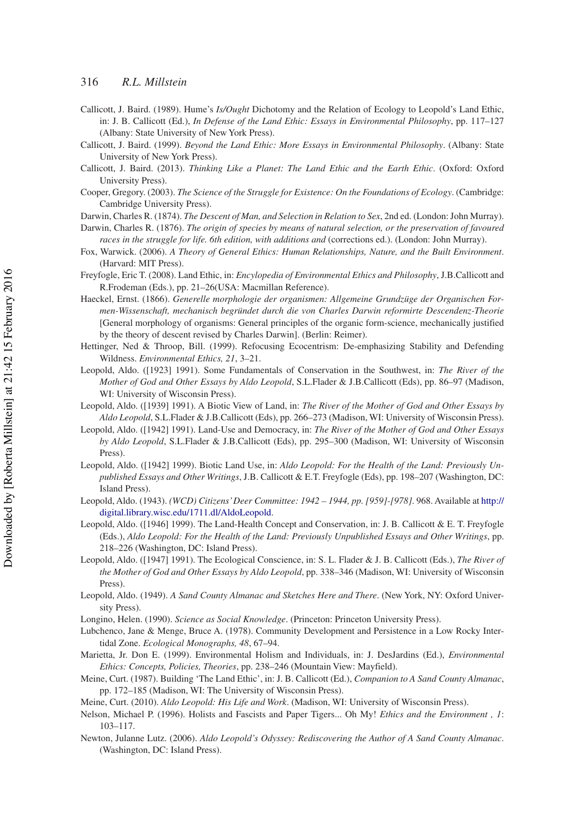- <span id="page-16-19"></span>Callicott, J. Baird. (1989). Hume's *Is/Ought* Dichotomy and the Relation of Ecology to Leopold's Land Ethic, in: J. B. Callicott (Ed.), *In Defense of the Land Ethic: Essays in Environmental Philosophy*, pp. 117–127 (Albany: State University of New York Press).
- <span id="page-16-1"></span>Callicott, J. Baird. (1999). *Beyond the Land Ethic: More Essays in Environmental Philosophy*. (Albany: State University of New York Press).
- Callicott, J. Baird. (2013). *Thinking Like a Planet: The Land Ethic and the Earth Ethic*. (Oxford: Oxford University Press).
- <span id="page-16-4"></span>Cooper, Gregory. (2003). *The Science of the Struggle for Existence: On the Foundations of Ecology*. (Cambridge: Cambridge University Press).
- <span id="page-16-9"></span>Darwin, Charles R. (1874). *The Descent of Man, and Selection in Relation to Sex*, 2nd ed. (London: John Murray).
- <span id="page-16-0"></span>Darwin, Charles R. (1876). *The origin of species by means of natural selection, or the preservation of favoured races in the struggle for life. 6th edition, with additions and* (corrections ed.). (London: John Murray).
- <span id="page-16-11"></span>Fox, Warwick. (2006). *A Theory of General Ethics: Human Relationships, Nature, and the Built Environment*. (Harvard: MIT Press).
- <span id="page-16-12"></span>Freyfogle, Eric T. (2008). Land Ethic, in: *Encylopedia of Environmental Ethics and Philosophy*, J.B.Callicott and R.Frodeman (Eds.), pp. 21–26(USA: Macmillan Reference).
- <span id="page-16-5"></span>Haeckel, Ernst. (1866). *Generelle morphologie der organismen: Allgemeine Grundzüge der Organischen Formen-Wissenschaft, mechanisch begründet durch die von Charles Darwin reformirte Descendenz-Theorie* [General morphology of organisms: General principles of the organic form-science, mechanically justified by the theory of descent revised by Charles Darwin]. (Berlin: Reimer).
- <span id="page-16-13"></span>Hettinger, Ned & Throop, Bill. (1999). Refocusing Ecocentrism: De-emphasizing Stability and Defending Wildness. *Environmental Ethics, 21*, 3–21.
- <span id="page-16-20"></span>Leopold, Aldo. ([1923] 1991). Some Fundamentals of Conservation in the Southwest, in: *The River of the Mother of God and Other Essays by Aldo Leopold*, S.L.Flader & J.B.Callicott (Eds), pp. 86–97 (Madison, WI: University of Wisconsin Press).
- <span id="page-16-7"></span>Leopold, Aldo. ([1939] 1991). A Biotic View of Land, in: *The River of the Mother of God and Other Essays by Aldo Leopold*, S.L.Flader & J.B.Callicott (Eds), pp. 266–273 (Madison, WI: University of Wisconsin Press).
- Leopold, Aldo. ([1942] 1991). Land-Use and Democracy, in: *The River of the Mother of God and Other Essays by Aldo Leopold*, S.L.Flader & J.B.Callicott (Eds), pp. 295–300 (Madison, WI: University of Wisconsin Press).
- <span id="page-16-15"></span>Leopold, Aldo. ([1942] 1999). Biotic Land Use, in: *Aldo Leopold: For the Health of the Land: Previously Unpublished Essays and Other Writings*, J.B. Callicott & E.T. Freyfogle (Eds), pp. 198–207 (Washington, DC: Island Press).
- <span id="page-16-6"></span>Leopold, Aldo. (1943). *(WCD) Citizens' Deer Committee: 1942 – 1944, pp. [959]-[978]*. 968. Available at [http://](http://digital.library.wisc.edu/1711.dl/AldoLeopold) [digital.library.wisc.edu/1711.dl/AldoLeopold.](http://digital.library.wisc.edu/1711.dl/AldoLeopold)
- <span id="page-16-18"></span>Leopold, Aldo. ([1946] 1999). The Land-Health Concept and Conservation, in: J. B. Callicott & E. T. Freyfogle (Eds.), *Aldo Leopold: For the Health of the Land: Previously Unpublished Essays and Other Writings*, pp. 218–226 (Washington, DC: Island Press).
- Leopold, Aldo. ([1947] 1991). The Ecological Conscience, in: S. L. Flader & J. B. Callicott (Eds.), *The River of the Mother of God and Other Essays by Aldo Leopold*, pp. 338–346 (Madison, WI: University of Wisconsin Press).
- <span id="page-16-2"></span>Leopold, Aldo. (1949). *A Sand County Almanac and Sketches Here and There*. (New York, NY: Oxford University Press).
- <span id="page-16-17"></span>Longino, Helen. (1990). *Science as Social Knowledge*. (Princeton: Princeton University Press).
- <span id="page-16-10"></span>Lubchenco, Jane & Menge, Bruce A. (1978). Community Development and Persistence in a Low Rocky Intertidal Zone. *Ecological Monographs, 48*, 67–94.
- <span id="page-16-16"></span>Marietta, Jr. Don E. (1999). Environmental Holism and Individuals, in: J. DesJardins (Ed.), *Environmental Ethics: Concepts, Policies, Theories*, pp. 238–246 (Mountain View: Mayfield).
- <span id="page-16-3"></span>Meine, Curt. (1987). Building 'The Land Ethic', in: J. B. Callicott (Ed.), *Companion to A Sand County Almanac*, pp. 172–185 (Madison, WI: The University of Wisconsin Press).
- <span id="page-16-8"></span>Meine, Curt. (2010). *Aldo Leopold: His Life and Work*. (Madison, WI: University of Wisconsin Press).
- <span id="page-16-21"></span>Nelson, Michael P. (1996). Holists and Fascists and Paper Tigers... Oh My! *Ethics and the Environment , 1*: 103–117.
- <span id="page-16-14"></span>Newton, Julanne Lutz. (2006). *Aldo Leopold's Odyssey: Rediscovering the Author of A Sand County Almanac*. (Washington, DC: Island Press).